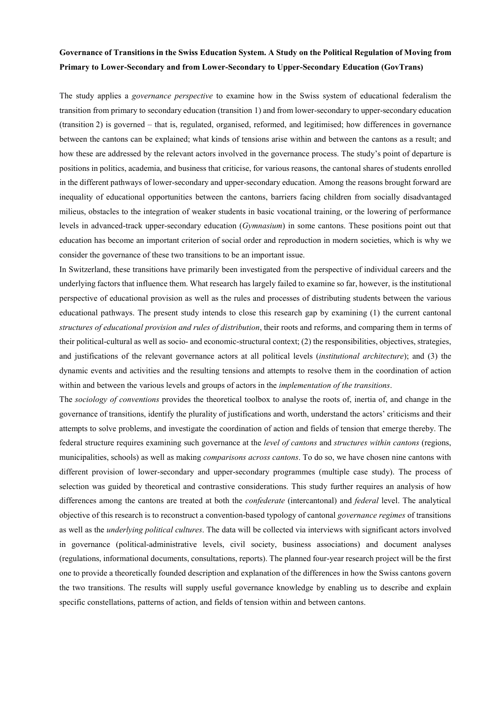# **Governance of Transitions in the Swiss Education System. A Study on the Political Regulation of Moving from Primary to Lower-Secondary and from Lower-Secondary to Upper-Secondary Education (GovTrans)**

The study applies a *governance perspective* to examine how in the Swiss system of educational federalism the transition from primary to secondary education (transition 1) and from lower-secondary to upper-secondary education (transition 2) is governed – that is, regulated, organised, reformed, and legitimised; how differences in governance between the cantons can be explained; what kinds of tensions arise within and between the cantons as a result; and how these are addressed by the relevant actors involved in the governance process. The study's point of departure is positions in politics, academia, and business that criticise, for various reasons, the cantonal shares of students enrolled in the different pathways of lower-secondary and upper-secondary education. Among the reasons brought forward are inequality of educational opportunities between the cantons, barriers facing children from socially disadvantaged milieus, obstacles to the integration of weaker students in basic vocational training, or the lowering of performance levels in advanced-track upper-secondary education (*Gymnasium*) in some cantons. These positions point out that education has become an important criterion of social order and reproduction in modern societies, which is why we consider the governance of these two transitions to be an important issue.

In Switzerland, these transitions have primarily been investigated from the perspective of individual careers and the underlying factors that influence them. What research has largely failed to examine so far, however, is the institutional perspective of educational provision as well as the rules and processes of distributing students between the various educational pathways. The present study intends to close this research gap by examining (1) the current cantonal *structures of educational provision and rules of distribution*, their roots and reforms, and comparing them in terms of their political-cultural as well as socio- and economic-structural context; (2) the responsibilities, objectives, strategies, and justifications of the relevant governance actors at all political levels (*institutional architecture*); and (3) the dynamic events and activities and the resulting tensions and attempts to resolve them in the coordination of action within and between the various levels and groups of actors in the *implementation of the transitions*.

The *sociology of conventions* provides the theoretical toolbox to analyse the roots of, inertia of, and change in the governance of transitions, identify the plurality of justifications and worth, understand the actors' criticisms and their attempts to solve problems, and investigate the coordination of action and fields of tension that emerge thereby. The federal structure requires examining such governance at the *level of cantons* and *structures within cantons* (regions, municipalities, schools) as well as making *comparisons across cantons*. To do so, we have chosen nine cantons with different provision of lower-secondary and upper-secondary programmes (multiple case study). The process of selection was guided by theoretical and contrastive considerations. This study further requires an analysis of how differences among the cantons are treated at both the *confederate* (intercantonal) and *federal* level. The analytical objective of this research is to reconstruct a convention-based typology of cantonal *governance regimes* of transitions as well as the *underlying political cultures*. The data will be collected via interviews with significant actors involved in governance (political-administrative levels, civil society, business associations) and document analyses (regulations, informational documents, consultations, reports). The planned four-year research project will be the first one to provide a theoretically founded description and explanation of the differences in how the Swiss cantons govern the two transitions. The results will supply useful governance knowledge by enabling us to describe and explain specific constellations, patterns of action, and fields of tension within and between cantons.